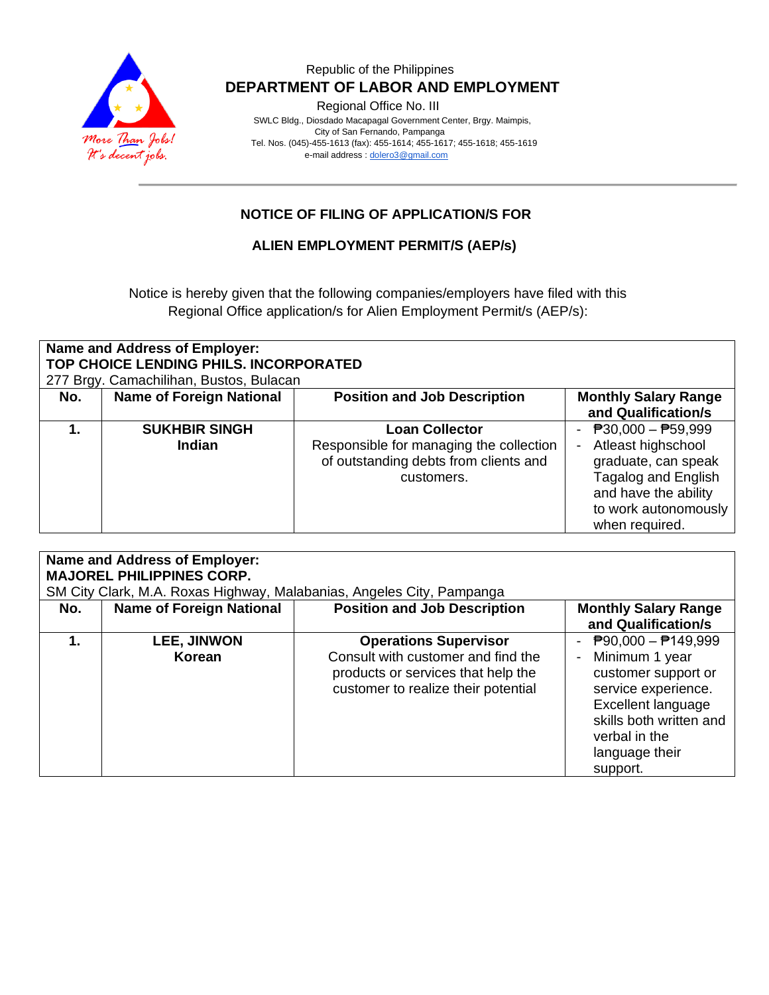

### Republic of the Philippines  **DEPARTMENT OF LABOR AND EMPLOYMENT**

Regional Office No. III

 SWLC Bldg., Diosdado Macapagal Government Center, Brgy. Maimpis, City of San Fernando, Pampanga Tel. Nos. (045)-455-1613 (fax): 455-1614; 455-1617; 455-1618; 455-1619 e-mail address [: dolero3@gmail.com](mailto:dolero3@gmail.com)

### **NOTICE OF FILING OF APPLICATION/S FOR**

#### **ALIEN EMPLOYMENT PERMIT/S (AEP/s)**

Notice is hereby given that the following companies/employers have filed with this Regional Office application/s for Alien Employment Permit/s (AEP/s):

| <b>Name and Address of Employer:</b><br>TOP CHOICE LENDING PHILS. INCORPORATED<br>277 Brgy. Camachilihan, Bustos, Bulacan |                                       |                                                                                                                         |                                                                                                                                                                    |  |  |  |
|---------------------------------------------------------------------------------------------------------------------------|---------------------------------------|-------------------------------------------------------------------------------------------------------------------------|--------------------------------------------------------------------------------------------------------------------------------------------------------------------|--|--|--|
| No.                                                                                                                       | <b>Name of Foreign National</b>       | <b>Position and Job Description</b>                                                                                     | <b>Monthly Salary Range</b><br>and Qualification/s                                                                                                                 |  |  |  |
|                                                                                                                           | <b>SUKHBIR SINGH</b><br><b>Indian</b> | <b>Loan Collector</b><br>Responsible for managing the collection<br>of outstanding debts from clients and<br>customers. | - $P30,000 - P59,999$<br>Atleast highschool<br>graduate, can speak<br><b>Tagalog and English</b><br>and have the ability<br>to work autonomously<br>when required. |  |  |  |

| <b>Name and Address of Employer:</b><br><b>MAJOREL PHILIPPINES CORP.</b> |                                 |                                                                                                                                                 |                                                                                                                                                                                                            |  |  |  |
|--------------------------------------------------------------------------|---------------------------------|-------------------------------------------------------------------------------------------------------------------------------------------------|------------------------------------------------------------------------------------------------------------------------------------------------------------------------------------------------------------|--|--|--|
| SM City Clark, M.A. Roxas Highway, Malabanias, Angeles City, Pampanga    |                                 |                                                                                                                                                 |                                                                                                                                                                                                            |  |  |  |
| No.                                                                      | <b>Name of Foreign National</b> | <b>Position and Job Description</b>                                                                                                             | <b>Monthly Salary Range</b><br>and Qualification/s                                                                                                                                                         |  |  |  |
| 1.                                                                       | <b>LEE, JINWON</b><br>Korean    | <b>Operations Supervisor</b><br>Consult with customer and find the<br>products or services that help the<br>customer to realize their potential | $\overline{P}90,000 - \overline{P}149,999$<br>Minimum 1 year<br>customer support or<br>service experience.<br>Excellent language<br>skills both written and<br>verbal in the<br>language their<br>support. |  |  |  |